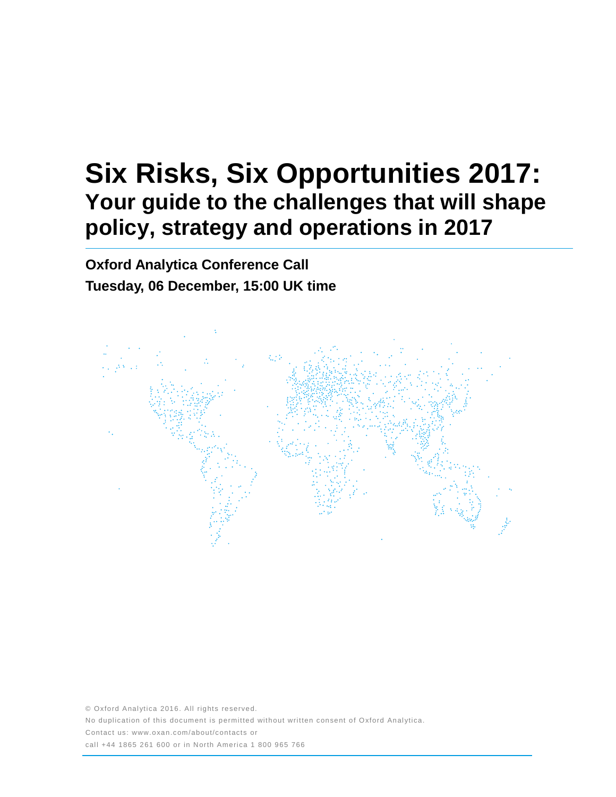# **Six Risks, Six Opportunities 2017: Your guide to the challenges that will shape policy, strategy and operations in 2017**

**Oxford Analytica Conference Call Tuesday, 06 December, 15:00 UK time**



© Oxford Analytica 2016. All rights reserved. No duplication of this document is permitted without written consent of Oxford Analytica. Contact us: www.oxan.com/about/contacts or call +44 1865 261 600 or in North America 1 800 965 766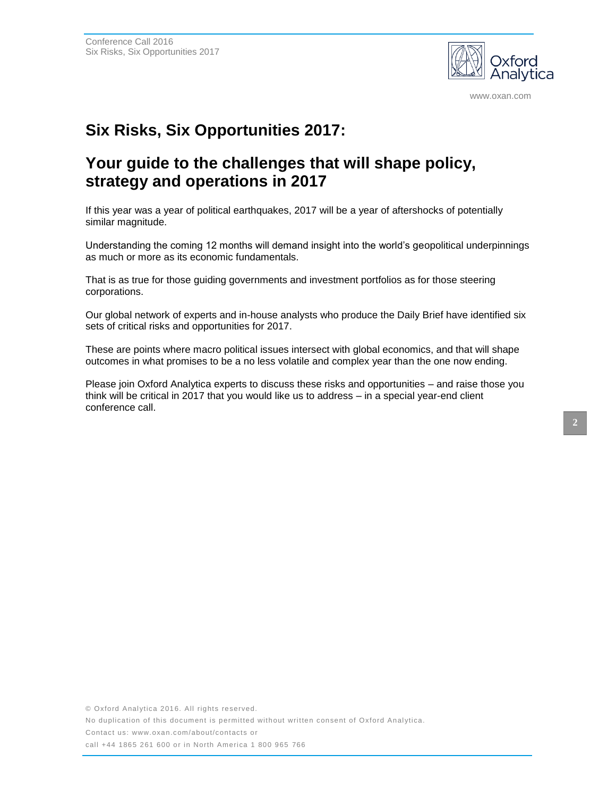

www.oxan.com

## **Six Risks, Six Opportunities 2017:**

## **Your guide to the challenges that will shape policy, strategy and operations in 2017**

If this year was a year of political earthquakes, 2017 will be a year of aftershocks of potentially similar magnitude.

Understanding the coming 12 months will demand insight into the world's geopolitical underpinnings as much or more as its economic fundamentals.

That is as true for those guiding governments and investment portfolios as for those steering corporations.

Our global network of experts and in-house analysts who produce the Daily Brief have identified six sets of critical risks and opportunities for 2017.

These are points where macro political issues intersect with global economics, and that will shape outcomes in what promises to be a no less volatile and complex year than the one now ending.

Please join Oxford Analytica experts to discuss these risks and opportunities – and raise those you think will be critical in 2017 that you would like us to address – in a special year-end client conference call.